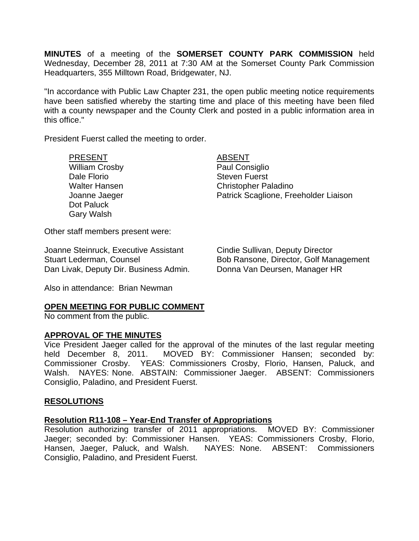**MINUTES** of a meeting of the **SOMERSET COUNTY PARK COMMISSION** held Wednesday, December 28, 2011 at 7:30 AM at the Somerset County Park Commission Headquarters, 355 Milltown Road, Bridgewater, NJ.

"In accordance with Public Law Chapter 231, the open public meeting notice requirements have been satisfied whereby the starting time and place of this meeting have been filed with a county newspaper and the County Clerk and posted in a public information area in this office."

President Fuerst called the meeting to order.

PRESENT ABSENT William Crosby **Paul Consiglio** Dale Florio **Steven Fuerst** Steven Fuerst Dot Paluck Gary Walsh

Walter Hansen Christopher Paladino Joanne Jaeger Patrick Scaglione, Freeholder Liaison

Other staff members present were:

Joanne Steinruck, Executive Assistant Cindie Sullivan, Deputy Director Dan Livak, Deputy Dir. Business Admin. Donna Van Deursen, Manager HR

Stuart Lederman, Counsel **Bob Ransone, Director, Golf Management** 

Also in attendance: Brian Newman

### **OPEN MEETING FOR PUBLIC COMMENT**

No comment from the public.

### **APPROVAL OF THE MINUTES**

Vice President Jaeger called for the approval of the minutes of the last regular meeting held December 8, 2011. MOVED BY: Commissioner Hansen; seconded by: Commissioner Crosby. YEAS: Commissioners Crosby, Florio, Hansen, Paluck, and Walsh. NAYES: None. ABSTAIN: Commissioner Jaeger. ABSENT: Commissioners Consiglio, Paladino, and President Fuerst.

### **RESOLUTIONS**

### **Resolution R11-108 – Year-End Transfer of Appropriations**

Resolution authorizing transfer of 2011 appropriations. MOVED BY: Commissioner Jaeger; seconded by: Commissioner Hansen. YEAS: Commissioners Crosby, Florio, Hansen, Jaeger, Paluck, and Walsh. NAYES: None. ABSENT: Commissioners Consiglio, Paladino, and President Fuerst.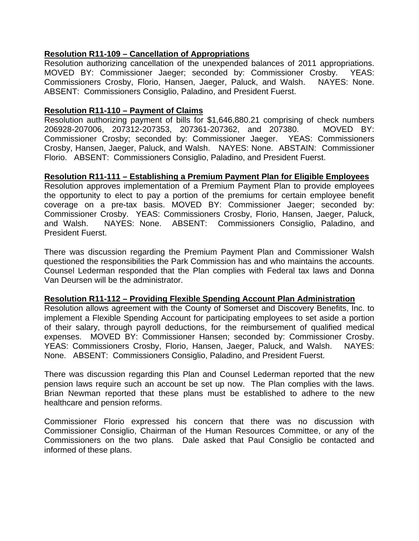# **Resolution R11-109 – Cancellation of Appropriations**

Resolution authorizing cancellation of the unexpended balances of 2011 appropriations. MOVED BY: Commissioner Jaeger; seconded by: Commissioner Crosby. YEAS: Commissioners Crosby, Florio, Hansen, Jaeger, Paluck, and Walsh. NAYES: None. ABSENT: Commissioners Consiglio, Paladino, and President Fuerst.

## **Resolution R11-110 – Payment of Claims**

Resolution authorizing payment of bills for \$1,646,880.21 comprising of check numbers 206928-207006, 207312-207353, 207361-207362, and 207380. MOVED BY: Commissioner Crosby; seconded by: Commissioner Jaeger. YEAS: Commissioners Crosby, Hansen, Jaeger, Paluck, and Walsh. NAYES: None. ABSTAIN: Commissioner Florio. ABSENT: Commissioners Consiglio, Paladino, and President Fuerst.

# **Resolution R11-111 – Establishing a Premium Payment Plan for Eligible Employees**

Resolution approves implementation of a Premium Payment Plan to provide employees the opportunity to elect to pay a portion of the premiums for certain employee benefit coverage on a pre-tax basis. MOVED BY: Commissioner Jaeger; seconded by: Commissioner Crosby. YEAS: Commissioners Crosby, Florio, Hansen, Jaeger, Paluck, and Walsh. NAYES: None. ABSENT: Commissioners Consiglio, Paladino, and President Fuerst.

There was discussion regarding the Premium Payment Plan and Commissioner Walsh questioned the responsibilities the Park Commission has and who maintains the accounts. Counsel Lederman responded that the Plan complies with Federal tax laws and Donna Van Deursen will be the administrator.

## **Resolution R11-112 – Providing Flexible Spending Account Plan Administration**

Resolution allows agreement with the County of Somerset and Discovery Benefits, Inc. to implement a Flexible Spending Account for participating employees to set aside a portion of their salary, through payroll deductions, for the reimbursement of qualified medical expenses. MOVED BY: Commissioner Hansen; seconded by: Commissioner Crosby. YEAS: Commissioners Crosby, Florio, Hansen, Jaeger, Paluck, and Walsh. NAYES: None. ABSENT: Commissioners Consiglio, Paladino, and President Fuerst.

There was discussion regarding this Plan and Counsel Lederman reported that the new pension laws require such an account be set up now. The Plan complies with the laws. Brian Newman reported that these plans must be established to adhere to the new healthcare and pension reforms.

Commissioner Florio expressed his concern that there was no discussion with Commissioner Consiglio, Chairman of the Human Resources Committee, or any of the Commissioners on the two plans. Dale asked that Paul Consiglio be contacted and informed of these plans.